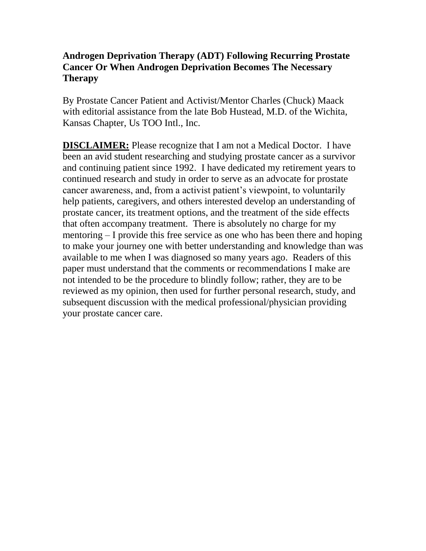# **Androgen Deprivation Therapy (ADT) Following Recurring Prostate Cancer Or When Androgen Deprivation Becomes The Necessary Therapy**

By Prostate Cancer Patient and Activist/Mentor Charles (Chuck) Maack with editorial assistance from the late Bob Hustead, M.D. of the Wichita, Kansas Chapter, Us TOO Intl., Inc.

**DISCLAIMER:** Please recognize that I am not a Medical Doctor. I have been an avid student researching and studying prostate cancer as a survivor and continuing patient since 1992. I have dedicated my retirement years to continued research and study in order to serve as an advocate for prostate cancer awareness, and, from a activist patient's viewpoint, to voluntarily help patients, caregivers, and others interested develop an understanding of prostate cancer, its treatment options, and the treatment of the side effects that often accompany treatment. There is absolutely no charge for my mentoring – I provide this free service as one who has been there and hoping to make your journey one with better understanding and knowledge than was available to me when I was diagnosed so many years ago. Readers of this paper must understand that the comments or recommendations I make are not intended to be the procedure to blindly follow; rather, they are to be reviewed as my opinion, then used for further personal research, study, and subsequent discussion with the medical professional/physician providing your prostate cancer care.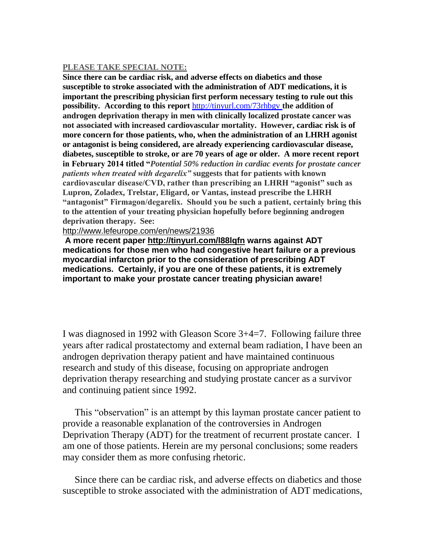#### **PLEASE TAKE SPECIAL NOTE:**

**Since there can be cardiac risk, and adverse effects on diabetics and those susceptible to stroke associated with the administration of ADT medications, it is important the prescribing physician first perform necessary testing to rule out this possibility. According to this report** <http://tinyurl.com/73rhbgv> **the addition of androgen deprivation therapy in men with clinically localized prostate cancer was not associated with increased cardiovascular mortality. However, cardiac risk is of more concern for those patients, who, when the administration of an LHRH agonist or antagonist is being considered, are already experiencing cardiovascular disease, diabetes, susceptible to stroke, or are 70 years of age or older. A more recent report in February 2014 titled "***Potential 50% reduction in cardiac events for prostate cancer patients when treated with degarelix"* **suggests that for patients with known cardiovascular disease/CVD, rather than prescribing an LHRH "agonist" such as Lupron, Zoladex, Trelstar, Eligard, or Vantas, instead prescribe the LHRH "antagonist" Firmagon/degarelix. Should you be such a patient, certainly bring this to the attention of your treating physician hopefully before beginning androgen deprivation therapy. See:** 

### <http://www.lefeurope.com/en/news/21936>

**A more recent paper<http://tinyurl.com/l88lqfn> warns against ADT medications for those men who had congestive heart failure or a previous myocardial infarcton prior to the consideration of prescribing ADT medications. Certainly, if you are one of these patients, it is extremely important to make your prostate cancer treating physician aware!**

I was diagnosed in 1992 with Gleason Score 3+4=7. Following failure three years after radical prostatectomy and external beam radiation, I have been an androgen deprivation therapy patient and have maintained continuous research and study of this disease, focusing on appropriate androgen deprivation therapy researching and studying prostate cancer as a survivor and continuing patient since 1992.

 This "observation" is an attempt by this layman prostate cancer patient to provide a reasonable explanation of the controversies in Androgen Deprivation Therapy (ADT) for the treatment of recurrent prostate cancer. I am one of those patients. Herein are my personal conclusions; some readers may consider them as more confusing rhetoric.

 Since there can be cardiac risk, and adverse effects on diabetics and those susceptible to stroke associated with the administration of ADT medications,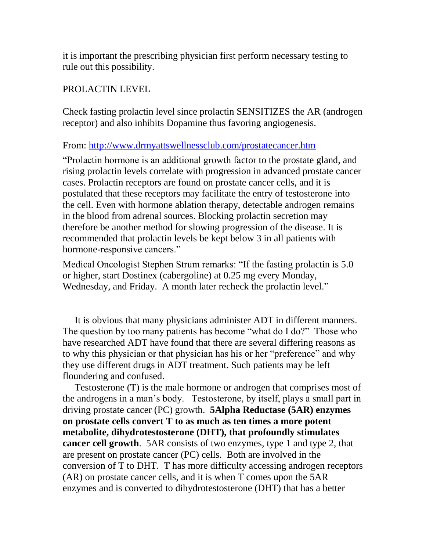it is important the prescribing physician first perform necessary testing to rule out this possibility.

### PROLACTIN LEVEL

Check fasting prolactin level since prolactin SENSITIZES the AR (androgen receptor) and also inhibits Dopamine thus favoring angiogenesis.

From:<http://www.drmyattswellnessclub.com/prostatecancer.htm>

"Prolactin hormone is an additional growth factor to the prostate gland, and rising prolactin levels correlate with progression in advanced prostate cancer cases. Prolactin receptors are found on prostate cancer cells, and it is postulated that these receptors may facilitate the entry of testosterone into the cell. Even with hormone ablation therapy, detectable androgen remains in the blood from adrenal sources. Blocking prolactin secretion may therefore be another method for slowing progression of the disease. It is recommended that prolactin levels be kept below 3 in all patients with hormone-responsive cancers."

Medical Oncologist Stephen Strum remarks: "If the fasting prolactin is 5.0 or higher, start Dostinex (cabergoline) at 0.25 mg every Monday, Wednesday, and Friday. A month later recheck the prolactin level."

 It is obvious that many physicians administer ADT in different manners. The question by too many patients has become "what do I do?" Those who have researched ADT have found that there are several differing reasons as to why this physician or that physician has his or her "preference" and why they use different drugs in ADT treatment. Such patients may be left floundering and confused.

 Testosterone (T) is the male hormone or androgen that comprises most of the androgens in a man's body. Testosterone, by itself, plays a small part in driving prostate cancer (PC) growth. **5Alpha Reductase (5AR) enzymes on prostate cells convert T to as much as ten times a more potent metabolite, dihydrotestosterone (DHT), that profoundly stimulates cancer cell growth**. 5AR consists of two enzymes, type 1 and type 2, that are present on prostate cancer (PC) cells. Both are involved in the conversion of T to DHT. T has more difficulty accessing androgen receptors (AR) on prostate cancer cells, and it is when T comes upon the 5AR enzymes and is converted to dihydrotestosterone (DHT) that has a better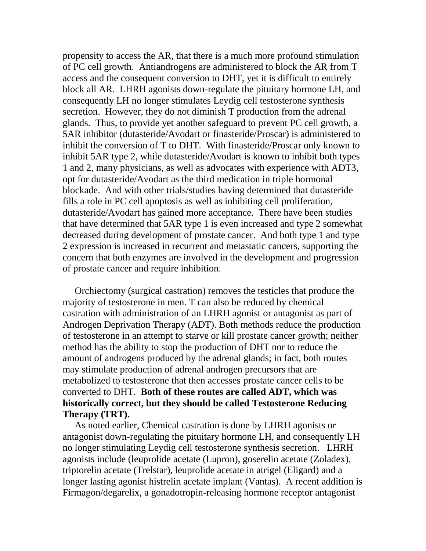propensity to access the AR, that there is a much more profound stimulation of PC cell growth. Antiandrogens are administered to block the AR from T access and the consequent conversion to DHT, yet it is difficult to entirely block all AR. LHRH agonists down-regulate the pituitary hormone LH, and consequently LH no longer stimulates Leydig cell testosterone synthesis secretion. However, they do not diminish T production from the adrenal glands. Thus, to provide yet another safeguard to prevent PC cell growth, a 5AR inhibitor (dutasteride/Avodart or finasteride/Proscar) is administered to inhibit the conversion of T to DHT. With finasteride/Proscar only known to inhibit 5AR type 2, while dutasteride/Avodart is known to inhibit both types 1 and 2, many physicians, as well as advocates with experience with ADT3, opt for dutasteride/Avodart as the third medication in triple hormonal blockade. And with other trials/studies having determined that dutasteride fills a role in PC cell apoptosis as well as inhibiting cell proliferation, dutasteride/Avodart has gained more acceptance. There have been studies that have determined that 5AR type 1 is even increased and type 2 somewhat decreased during development of prostate cancer. And both type 1 and type 2 expression is increased in recurrent and metastatic cancers, supporting the concern that both enzymes are involved in the development and progression of prostate cancer and require inhibition.

 Orchiectomy (surgical castration) removes the testicles that produce the majority of testosterone in men. T can also be reduced by chemical castration with administration of an LHRH agonist or antagonist as part of Androgen Deprivation Therapy (ADT). Both methods reduce the production of testosterone in an attempt to starve or kill prostate cancer growth; neither method has the ability to stop the production of DHT nor to reduce the amount of androgens produced by the adrenal glands; in fact, both routes may stimulate production of adrenal androgen precursors that are metabolized to testosterone that then accesses prostate cancer cells to be converted to DHT. **Both of these routes are called ADT, which was historically correct, but they should be called Testosterone Reducing Therapy (TRT).**

 As noted earlier, Chemical castration is done by LHRH agonists or antagonist down-regulating the pituitary hormone LH, and consequently LH no longer stimulating Leydig cell testosterone synthesis secretion. LHRH agonists include (leuprolide acetate (Lupron), goserelin acetate (Zoladex), triptorelin acetate (Trelstar), leuprolide acetate in atrigel (Eligard) and a longer lasting agonist histrelin acetate implant (Vantas). A recent addition is Firmagon/degarelix, a gonadotropin-releasing hormone receptor antagonist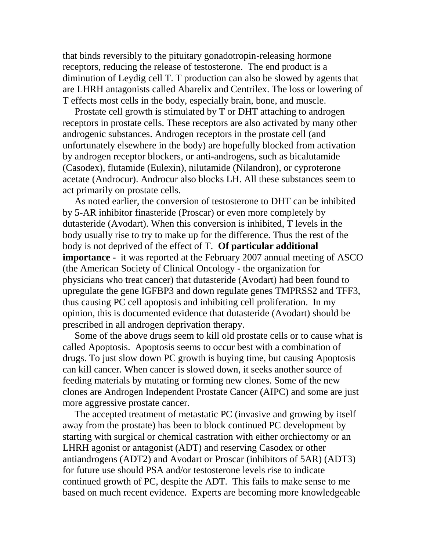that binds reversibly to the pituitary gonadotropin-releasing hormone receptors, reducing the release of testosterone. The end product is a diminution of Leydig cell T. T production can also be slowed by agents that are LHRH antagonists called Abarelix and Centrilex. The loss or lowering of T effects most cells in the body, especially brain, bone, and muscle.

 Prostate cell growth is stimulated by T or DHT attaching to androgen receptors in prostate cells. These receptors are also activated by many other androgenic substances. Androgen receptors in the prostate cell (and unfortunately elsewhere in the body) are hopefully blocked from activation by androgen receptor blockers, or anti-androgens, such as bicalutamide (Casodex), flutamide (Eulexin), nilutamide (Nilandron), or cyproterone acetate (Androcur). Androcur also blocks LH. All these substances seem to act primarily on prostate cells.

 As noted earlier, the conversion of testosterone to DHT can be inhibited by 5-AR inhibitor finasteride (Proscar) or even more completely by dutasteride (Avodart). When this conversion is inhibited, T levels in the body usually rise to try to make up for the difference. Thus the rest of the body is not deprived of the effect of T. **Of particular additional importance** - it was reported at the February 2007 annual meeting of ASCO (the American Society of Clinical Oncology - the organization for physicians who treat cancer) that dutasteride (Avodart) had been found to upregulate the gene IGFBP3 and down regulate genes TMPRSS2 and TFF3, thus causing PC cell apoptosis and inhibiting cell proliferation. In my opinion, this is documented evidence that dutasteride (Avodart) should be prescribed in all androgen deprivation therapy.

 Some of the above drugs seem to kill old prostate cells or to cause what is called Apoptosis. Apoptosis seems to occur best with a combination of drugs. To just slow down PC growth is buying time, but causing Apoptosis can kill cancer. When cancer is slowed down, it seeks another source of feeding materials by mutating or forming new clones. Some of the new clones are Androgen Independent Prostate Cancer (AIPC) and some are just more aggressive prostate cancer.

 The accepted treatment of metastatic PC (invasive and growing by itself away from the prostate) has been to block continued PC development by starting with surgical or chemical castration with either orchiectomy or an LHRH agonist or antagonist (ADT) and reserving Casodex or other antiandrogens (ADT2) and Avodart or Proscar (inhibitors of 5AR) (ADT3) for future use should PSA and/or testosterone levels rise to indicate continued growth of PC, despite the ADT. This fails to make sense to me based on much recent evidence. Experts are becoming more knowledgeable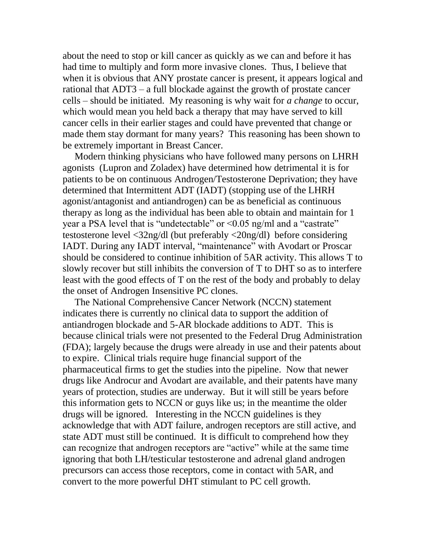about the need to stop or kill cancer as quickly as we can and before it has had time to multiply and form more invasive clones. Thus, I believe that when it is obvious that ANY prostate cancer is present, it appears logical and rational that ADT3 – a full blockade against the growth of prostate cancer cells – should be initiated. My reasoning is why wait for *a change* to occur, which would mean you held back a therapy that may have served to kill cancer cells in their earlier stages and could have prevented that change or made them stay dormant for many years? This reasoning has been shown to be extremely important in Breast Cancer.

 Modern thinking physicians who have followed many persons on LHRH agonists (Lupron and Zoladex) have determined how detrimental it is for patients to be on continuous Androgen/Testosterone Deprivation; they have determined that Intermittent ADT (IADT) (stopping use of the LHRH agonist/antagonist and antiandrogen) can be as beneficial as continuous therapy as long as the individual has been able to obtain and maintain for 1 year a PSA level that is "undetectable" or <0.05 ng/ml and a "castrate" testosterone level <32ng/dl (but preferably <20ng/dl) before considering IADT. During any IADT interval, "maintenance" with Avodart or Proscar should be considered to continue inhibition of 5AR activity. This allows T to slowly recover but still inhibits the conversion of T to DHT so as to interfere least with the good effects of T on the rest of the body and probably to delay the onset of Androgen Insensitive PC clones.

The National Comprehensive Cancer Network (NCCN) statement indicates there is currently no clinical data to support the addition of antiandrogen blockade and 5-AR blockade additions to ADT. This is because clinical trials were not presented to the Federal Drug Administration (FDA); largely because the drugs were already in use and their patents about to expire. Clinical trials require huge financial support of the pharmaceutical firms to get the studies into the pipeline. Now that newer drugs like Androcur and Avodart are available, and their patents have many years of protection, studies are underway. But it will still be years before this information gets to NCCN or guys like us; in the meantime the older drugs will be ignored. Interesting in the NCCN guidelines is they acknowledge that with ADT failure, androgen receptors are still active, and state ADT must still be continued. It is difficult to comprehend how they can recognize that androgen receptors are "active" while at the same time ignoring that both LH/testicular testosterone and adrenal gland androgen precursors can access those receptors, come in contact with 5AR, and convert to the more powerful DHT stimulant to PC cell growth.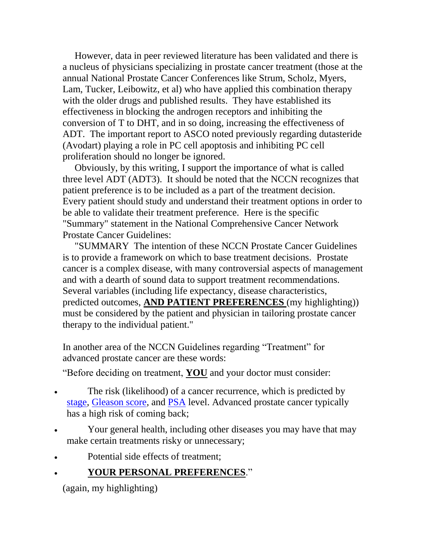However, data in peer reviewed literature has been validated and there is a nucleus of physicians specializing in prostate cancer treatment (those at the annual National Prostate Cancer Conferences like Strum, Scholz, Myers, Lam, Tucker, Leibowitz, et al) who have applied this combination therapy with the older drugs and published results. They have established its effectiveness in blocking the androgen receptors and inhibiting the conversion of T to DHT, and in so doing, increasing the effectiveness of ADT. The important report to ASCO noted previously regarding dutasteride (Avodart) playing a role in PC cell apoptosis and inhibiting PC cell proliferation should no longer be ignored.

 Obviously, by this writing, I support the importance of what is called three level ADT (ADT3). It should be noted that the NCCN recognizes that patient preference is to be included as a part of the treatment decision. Every patient should study and understand their treatment options in order to be able to validate their treatment preference. Here is the specific "Summary" statement in the National Comprehensive Cancer Network Prostate Cancer Guidelines:

 "SUMMARY The intention of these NCCN Prostate Cancer Guidelines is to provide a framework on which to base treatment decisions. Prostate cancer is a complex disease, with many controversial aspects of management and with a dearth of sound data to support treatment recommendations. Several variables (including life expectancy, disease characteristics, predicted outcomes, **AND PATIENT PREFERENCES** (my highlighting)) must be considered by the patient and physician in tailoring prostate cancer therapy to the individual patient."

In another area of the NCCN Guidelines regarding "Treatment" for advanced prostate cancer are these words:

"Before deciding on treatment, **YOU** and your doctor must consider:

- The risk (likelihood) of a cancer recurrence, which is predicted by [stage,](http://www.nccn.com/WorkArea/linkit.aspx?LinkIdentifier=id&ItemID=32) [Gleason score,](http://www.nccn.com/WorkArea/linkit.aspx?LinkIdentifier=id&ItemID=2467) and [PSA](http://www.nccn.com/WorkArea/linkit.aspx?LinkIdentifier=id&ItemID=2679) level. Advanced prostate cancer typically has a high risk of coming back;
- Your general health, including other diseases you may have that may make certain treatments risky or unnecessary;
- Potential side effects of treatment;

# **YOUR PERSONAL PREFERENCES**."

(again, my highlighting)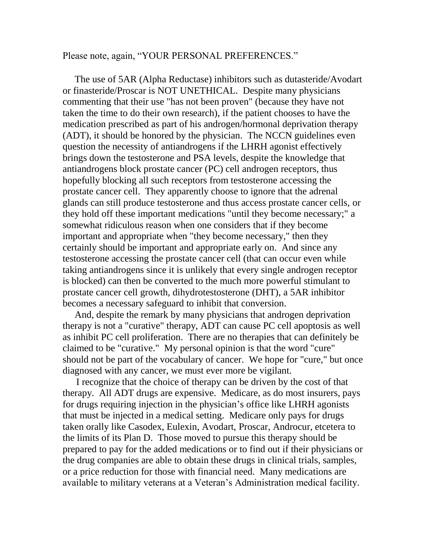Please note, again, "YOUR PERSONAL PREFERENCES."

 The use of 5AR (Alpha Reductase) inhibitors such as dutasteride/Avodart or finasteride/Proscar is NOT UNETHICAL. Despite many physicians commenting that their use "has not been proven" (because they have not taken the time to do their own research), if the patient chooses to have the medication prescribed as part of his androgen/hormonal deprivation therapy (ADT), it should be honored by the physician. The NCCN guidelines even question the necessity of antiandrogens if the LHRH agonist effectively brings down the testosterone and PSA levels, despite the knowledge that antiandrogens block prostate cancer (PC) cell androgen receptors, thus hopefully blocking all such receptors from testosterone accessing the prostate cancer cell. They apparently choose to ignore that the adrenal glands can still produce testosterone and thus access prostate cancer cells, or they hold off these important medications "until they become necessary;" a somewhat ridiculous reason when one considers that if they become important and appropriate when "they become necessary," then they certainly should be important and appropriate early on. And since any testosterone accessing the prostate cancer cell (that can occur even while taking antiandrogens since it is unlikely that every single androgen receptor is blocked) can then be converted to the much more powerful stimulant to prostate cancer cell growth, dihydrotestosterone (DHT), a 5AR inhibitor becomes a necessary safeguard to inhibit that conversion.

 And, despite the remark by many physicians that androgen deprivation therapy is not a "curative" therapy, ADT can cause PC cell apoptosis as well as inhibit PC cell proliferation. There are no therapies that can definitely be claimed to be "curative." My personal opinion is that the word "cure" should not be part of the vocabulary of cancer. We hope for "cure," but once diagnosed with any cancer, we must ever more be vigilant.

 I recognize that the choice of therapy can be driven by the cost of that therapy. All ADT drugs are expensive. Medicare, as do most insurers, pays for drugs requiring injection in the physician's office like LHRH agonists that must be injected in a medical setting. Medicare only pays for drugs taken orally like Casodex, Eulexin, Avodart, Proscar, Androcur, etcetera to the limits of its Plan D. Those moved to pursue this therapy should be prepared to pay for the added medications or to find out if their physicians or the drug companies are able to obtain these drugs in clinical trials, samples, or a price reduction for those with financial need. Many medications are available to military veterans at a Veteran's Administration medical facility.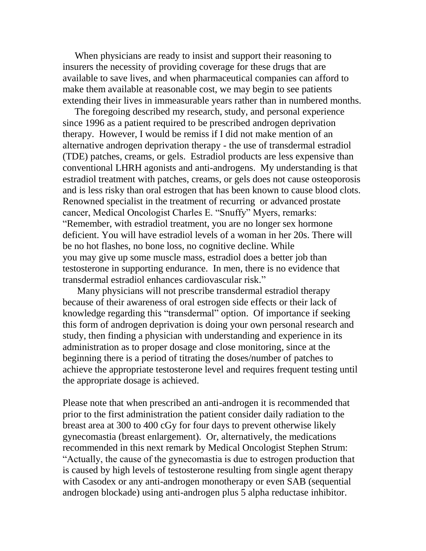When physicians are ready to insist and support their reasoning to insurers the necessity of providing coverage for these drugs that are available to save lives, and when pharmaceutical companies can afford to make them available at reasonable cost, we may begin to see patients extending their lives in immeasurable years rather than in numbered months.

 The foregoing described my research, study, and personal experience since 1996 as a patient required to be prescribed androgen deprivation therapy. However, I would be remiss if I did not make mention of an alternative androgen deprivation therapy - the use of transdermal estradiol (TDE) patches, creams, or gels. Estradiol products are less expensive than conventional LHRH agonists and anti-androgens. My understanding is that estradiol treatment with patches, creams, or gels does not cause osteoporosis and is less risky than oral estrogen that has been known to cause blood clots. Renowned specialist in the treatment of recurring or advanced prostate cancer, Medical Oncologist Charles E. "Snuffy" Myers, remarks: "Remember, with estradiol treatment, you are no longer sex hormone deficient. You will have estradiol levels of a woman in her 20s. There will be no hot flashes, no bone loss, no cognitive decline. While you may give up some muscle mass, estradiol does a better job than testosterone in supporting endurance. In men, there is no evidence that transdermal estradiol enhances cardiovascular risk."

 Many physicians will not prescribe transdermal estradiol therapy because of their awareness of oral estrogen side effects or their lack of knowledge regarding this "transdermal" option. Of importance if seeking this form of androgen deprivation is doing your own personal research and study, then finding a physician with understanding and experience in its administration as to proper dosage and close monitoring, since at the beginning there is a period of titrating the doses/number of patches to achieve the appropriate testosterone level and requires frequent testing until the appropriate dosage is achieved.

Please note that when prescribed an anti-androgen it is recommended that prior to the first administration the patient consider daily radiation to the breast area at 300 to 400 cGy for four days to prevent otherwise likely gynecomastia (breast enlargement). Or, alternatively, the medications recommended in this next remark by Medical Oncologist Stephen Strum: "Actually, the cause of the gynecomastia is due to estrogen production that is caused by high levels of testosterone resulting from single agent therapy with Casodex or any anti-androgen monotherapy or even SAB (sequential androgen blockade) using anti-androgen plus 5 alpha reductase inhibitor.